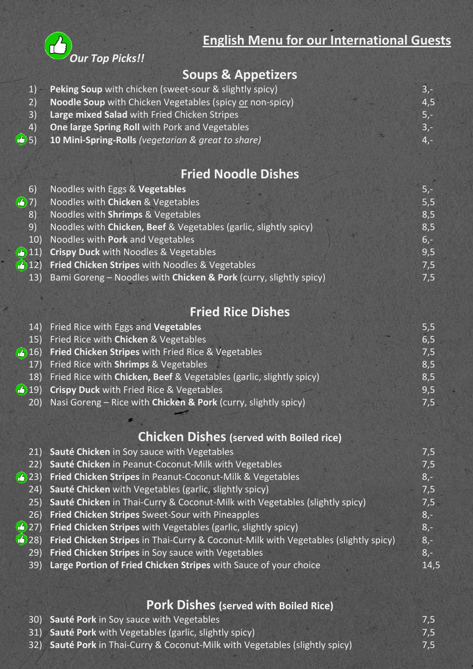

**English Menu for our International Guests**

### **Soups & Appetizers**

|                        | 1) Peking Soup with chicken (sweet-sour & slightly spicy)   | $3 -$  |
|------------------------|-------------------------------------------------------------|--------|
|                        | 2) Noodle Soup with Chicken Vegetables (spicy or non-spicy) | 4,5    |
| $\left 3\right\rangle$ | Large mixed Salad with Fried Chicken Stripes                | $5. -$ |
| (4)                    | One large Spring Roll with Pork and Vegetables              | $3 -$  |
|                        | $(5)$ 10 Mini-Spring-Rolls (vegetarian & great to share)    | $4 -$  |
|                        |                                                             |        |

### **Fried Noodle Dishes**

| 6)          | Noodles with Eggs & Vegetables                                    | $5,-$  |
|-------------|-------------------------------------------------------------------|--------|
| (3)7)       | Noodles with Chicken & Vegetables                                 | 5,5    |
| $ 8\rangle$ | Noodles with Shrimps & Vegetables                                 | 8,5    |
| 9)          | Noodles with Chicken, Beef & Vegetables (garlic, slightly spicy)  | 8,5    |
|             | 10) Noodles with Pork and Vegetables                              | $6, -$ |
|             | (11) Crispy Duck with Noodles & Vegetables                        | 9,5    |
|             | 412) Fried Chicken Stripes with Noodles & Vegetables              | 7,5    |
| 13)         | Bami Goreng - Noodles with Chicken & Pork (curry, slightly spicy) | 7,5    |
|             |                                                                   |        |

# **Fried Rice Dishes**

| 14) Fried Rice with Eggs and Vegetables                                 | 5,5 |
|-------------------------------------------------------------------------|-----|
| 15) Fried Rice with Chicken & Vegetables                                | 6,5 |
| 416) Fried Chicken Stripes with Fried Rice & Vegetables                 | 7,5 |
| 17) Fried Rice with <b>Shrimps</b> & Vegetables                         | 8,5 |
| 18) Fried Rice with Chicken, Beef & Vegetables (garlic, slightly spicy) | 8,5 |
| 4 19) Crispy Duck with Fried Rice & Vegetables                          | 9,5 |
| 20) Nasi Goreng - Rice with Chicken & Pork (curry, slightly spicy)      | 7,5 |
|                                                                         |     |

# **Chicken Dishes (served with Boiled rice)**

| 21)           | Sauté Chicken in Soy sauce with Vegetables                                          | 7,5   |
|---------------|-------------------------------------------------------------------------------------|-------|
| 22)           | Sauté Chicken in Peanut-Coconut-Milk with Vegetables                                | 7,5   |
| 5(23)         | Fried Chicken Stripes in Peanut-Coconut-Milk & Vegetables                           | $8,-$ |
| (24)          | Sauté Chicken with Vegetables (garlic, slightly spicy)                              | 7,5   |
| 25)           | Sauté Chicken in Thai-Curry & Coconut-Milk with Vegetables (slightly spicy)         | 7,5   |
| 26)           | Fried Chicken Stripes Sweet-Sour with Pineapples                                    | $8,-$ |
| 5(27)         | Fried Chicken Stripes with Vegetables (garlic, slightly spicy)                      | $8,-$ |
| $\bullet$ 28) | Fried Chicken Stripes in Thai-Curry & Coconut-Milk with Vegetables (slightly spicy) | $8,-$ |
| 29)           | Fried Chicken Stripes in Soy sauce with Vegetables                                  | $8,-$ |
| 39)           | Large Portion of Fried Chicken Stripes with Sauce of your choice                    | 14,5  |
|               |                                                                                     |       |

#### **Pork Dishes (served with Boiled Rice)**

| 30) Sauté Pork in Soy sauce with Vegetables                                  | 7,5 |
|------------------------------------------------------------------------------|-----|
| 31) Sauté Pork with Vegetables (garlic, slightly spicy)                      | 7,5 |
| 32) Sauté Pork in Thai-Curry & Coconut-Milk with Vegetables (slightly spicy) | 7,5 |